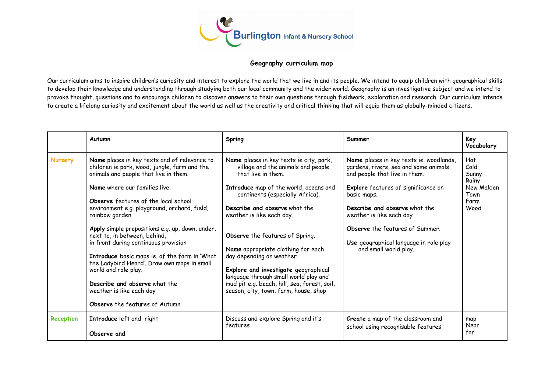

## **Geography curriculum map**

Our curriculum aims to inspire children's curiosity and interest to explore the world that we live in and its people. We intend to equip children with geographical skills to develop their knowledge and understanding through studying both our local community and the wider world. Geography is an investigative subject and we intend to provoke thought, questions and to encourage children to discover answers to their own questions through fieldwork, exploration and research. Our curriculum intends to create a lifelong curiosity and excitement about the world as well as the creativity and critical thinking that will equip them as globally-minded citizens.

|                | Autumn                                                                                                                                                                                                                                                                                                                                                                                                                                                                                                                                                                                                                               | Spring                                                                                                                                                                                                                                                                                                                                                                                                                                                                                                                        | Summer                                                                                                                                                                                                                                                                                                                                            | Key<br>Vocabulary                                                   |
|----------------|--------------------------------------------------------------------------------------------------------------------------------------------------------------------------------------------------------------------------------------------------------------------------------------------------------------------------------------------------------------------------------------------------------------------------------------------------------------------------------------------------------------------------------------------------------------------------------------------------------------------------------------|-------------------------------------------------------------------------------------------------------------------------------------------------------------------------------------------------------------------------------------------------------------------------------------------------------------------------------------------------------------------------------------------------------------------------------------------------------------------------------------------------------------------------------|---------------------------------------------------------------------------------------------------------------------------------------------------------------------------------------------------------------------------------------------------------------------------------------------------------------------------------------------------|---------------------------------------------------------------------|
| <b>Nursery</b> | Name places in key texts and of relevance to<br>children ie park, wood, jungle, farm and the<br>animals and people that live in them.<br>Name where our families live.<br>Observe features of the local school<br>environment e.g. playground, orchard, field,<br>rainbow garden.<br>Apply simple prepositions e.g. up, down, under,<br>next to, in between, behind,<br>in front during continuous provision<br>Introduce basic maps ie. of the farm in 'What<br>the Ladybird Heard'. Draw own maps in small<br>world and role play.<br>Describe and observe what the<br>weather is like each day<br>Observe the features of Autumn. | Name places in key texts ie city, park,<br>village and the animals and people<br>that live in them.<br>Introduce map of the world, oceans and<br>continents (especially Africa).<br>Describe and observe what the<br>weather is like each day.<br>Observe the features of Spring.<br>Name appropriate clothing for each<br>day depending on weather<br>Explore and investigate geographical<br>language through small world play and<br>mud pit e.g. beach, hill, sea, forest, soil,<br>season, city, town, farm, house, shop | Name places in key texts ie. woodlands,<br>gardens, rivers, sea and some animals<br>and people that live in them.<br><b>Explore</b> features of significance on<br>basic maps.<br>Describe and observe what the<br>weather is like each day<br>Observe the features of Summer.<br>Use geographical language in role play<br>and small world play. | Hot<br>Cold<br>Sunny<br>Rainy<br>New Malden<br>Town<br>Farm<br>Wood |
| Reception      | Introduce left and right<br>Observe and                                                                                                                                                                                                                                                                                                                                                                                                                                                                                                                                                                                              | Discuss and explore Spring and it's<br>features                                                                                                                                                                                                                                                                                                                                                                                                                                                                               | Create a map of the classroom and<br>school using recognisable features                                                                                                                                                                                                                                                                           | map<br>Near<br>far                                                  |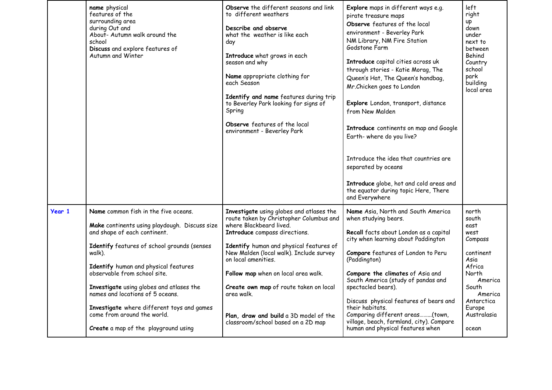|               | name physical<br>features of the<br>surrounding area<br>during Out and<br>About- Autumn walk around the<br>school<br>Discuss and explore features of<br>Autumn and Winter                                                                                                                                                                                                                                                                                   | Observe the different seasons and link<br>to different weathers<br>Describe and observe<br>what the weather is like each<br>day<br>Introduce what grows in each<br>season and why<br>Name appropriate clothing for<br>each Season<br>Identify and name features during trip<br>to Beverley Park looking for signs of<br>Spring<br>Observe features of the local<br>environment - Beverley Park                                              | Explore maps in different ways e.g.<br>pirate treasure maps<br>Observe features of the local<br>environment - Beverley Park<br>NM Library, NM Fire Station<br>Godstone Farm<br>Introduce capital cities across uk<br>through stories - Katie Morag, The<br>Queen's Hat, The Queen's handbag,<br>Mr.Chicken goes to London<br>Explore London, transport, distance<br>from New Malden<br>Introduce continents on map and Google<br>Earth-where do you live?<br>Introduce the idea that countries are<br>separated by oceans<br>Introduce globe, hot and cold areas and<br>the equator during topic Here, There<br>and Everywhere | left<br>right<br><b>up</b><br>down<br>under<br>next to<br>between<br>Behind<br>Country<br>school<br>park<br>building<br>local area                               |
|---------------|-------------------------------------------------------------------------------------------------------------------------------------------------------------------------------------------------------------------------------------------------------------------------------------------------------------------------------------------------------------------------------------------------------------------------------------------------------------|---------------------------------------------------------------------------------------------------------------------------------------------------------------------------------------------------------------------------------------------------------------------------------------------------------------------------------------------------------------------------------------------------------------------------------------------|--------------------------------------------------------------------------------------------------------------------------------------------------------------------------------------------------------------------------------------------------------------------------------------------------------------------------------------------------------------------------------------------------------------------------------------------------------------------------------------------------------------------------------------------------------------------------------------------------------------------------------|------------------------------------------------------------------------------------------------------------------------------------------------------------------|
| <b>Year 1</b> | Name common fish in the five oceans.<br>Make continents using playdough. Discuss size<br>and shape of each continent.<br>Identify features of school grounds (senses<br>walk).<br>Identify human and physical features<br>observable from school site.<br>Investigate using globes and atlases the<br>names and locations of 5 oceans.<br>Investigate where different toys and games<br>come from around the world.<br>Create a map of the playground using | Investigate using globes and atlases the<br>route taken by Christopher Columbus and<br>where Blackbeard lived.<br>Introduce compass directions.<br>Identify human and physical features of<br>New Malden (local walk). Include survey<br>on local amenities.<br>Follow map when on local area walk.<br>Create own map of route taken on local<br>area walk.<br>Plan, draw and build a 3D model of the<br>classroom/school based on a 2D map | Name Asia, North and South America<br>when studying bears.<br>Recall facts about London as a capital<br>city when learning about Paddington<br>Compare features of London to Peru<br>(Paddington)<br>Compare the climates of Asia and<br>South America (study of pandas and<br>spectacled bears).<br>Discuss physical features of bears and<br>their habitats.<br>Comparing different areas(town,<br>village, beach, farmland, city). Compare<br>human and physical features when                                                                                                                                              | north<br>south<br>east<br>west<br>Compass<br>continent<br>Asia<br>Africa<br>North<br>America<br>South<br>America<br>Antarctica<br>Europe<br>Australasia<br>ocean |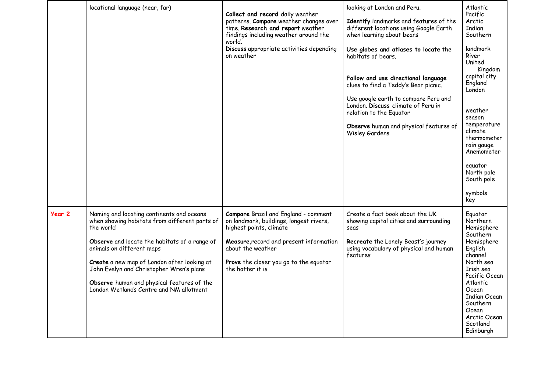|        | locational language (near, far)                                                                                                                                                                                                                                                                                                                                           | Collect and record daily weather<br>patterns. Compare weather changes over<br>time. Research and report weather<br>findings including weather around the<br>world.<br>Discuss appropriate activities depending<br>on weather                    | looking at London and Peru.<br>Identify landmarks and features of the<br>different locations using Google Earth<br>when learning about bears<br>Use globes and atlases to locate the<br>habitats of bears.<br>Follow and use directional language<br>clues to find a Teddy's Bear picnic.<br>Use google earth to compare Peru and<br>London. Discuss climate of Peru in<br>relation to the Equator<br>Observe human and physical features of<br>Wisley Gardens | Atlantic<br>Pacific<br>Arctic<br>Indian<br>Southern<br>landmark<br>River<br>United<br>Kingdom<br>capital city<br>England<br>London<br>weather<br>season<br>temperature<br>climate<br>thermometer<br>rain gauge<br>Anemometer<br>equator<br>North pole<br>South pole<br>symbols<br>key |
|--------|---------------------------------------------------------------------------------------------------------------------------------------------------------------------------------------------------------------------------------------------------------------------------------------------------------------------------------------------------------------------------|-------------------------------------------------------------------------------------------------------------------------------------------------------------------------------------------------------------------------------------------------|----------------------------------------------------------------------------------------------------------------------------------------------------------------------------------------------------------------------------------------------------------------------------------------------------------------------------------------------------------------------------------------------------------------------------------------------------------------|---------------------------------------------------------------------------------------------------------------------------------------------------------------------------------------------------------------------------------------------------------------------------------------|
| Year 2 | Naming and locating continents and oceans<br>when showing habitats from different parts of<br>the world<br>Observe and locate the habitats of a range of<br>animals on different maps<br>Create a new map of London after looking at<br>John Evelyn and Christopher Wren's plans<br>Observe human and physical features of the<br>London Wetlands Centre and NM allotment | <b>Compare</b> Brazil and England - comment<br>on landmark, buildings, longest rivers,<br>highest points, climate<br>Measure, record and present information<br>about the weather<br>Prove the closer you go to the equator<br>the hotter it is | Create a fact book about the UK<br>showing capital cities and surrounding<br>seas<br>Recreate the Lonely Beast's journey<br>using vocabulary of physical and human<br>features                                                                                                                                                                                                                                                                                 | Equator<br>Northern<br>Hemisphere<br>Southern<br>Hemisphere<br>English<br>channel<br>North sea<br>Irish sea<br>Pacific Ocean<br>Atlantic<br>Ocean<br><b>Indian Ocean</b><br>Southern<br>Ocean<br>Arctic Ocean<br>Scotland<br>Edinburgh                                                |